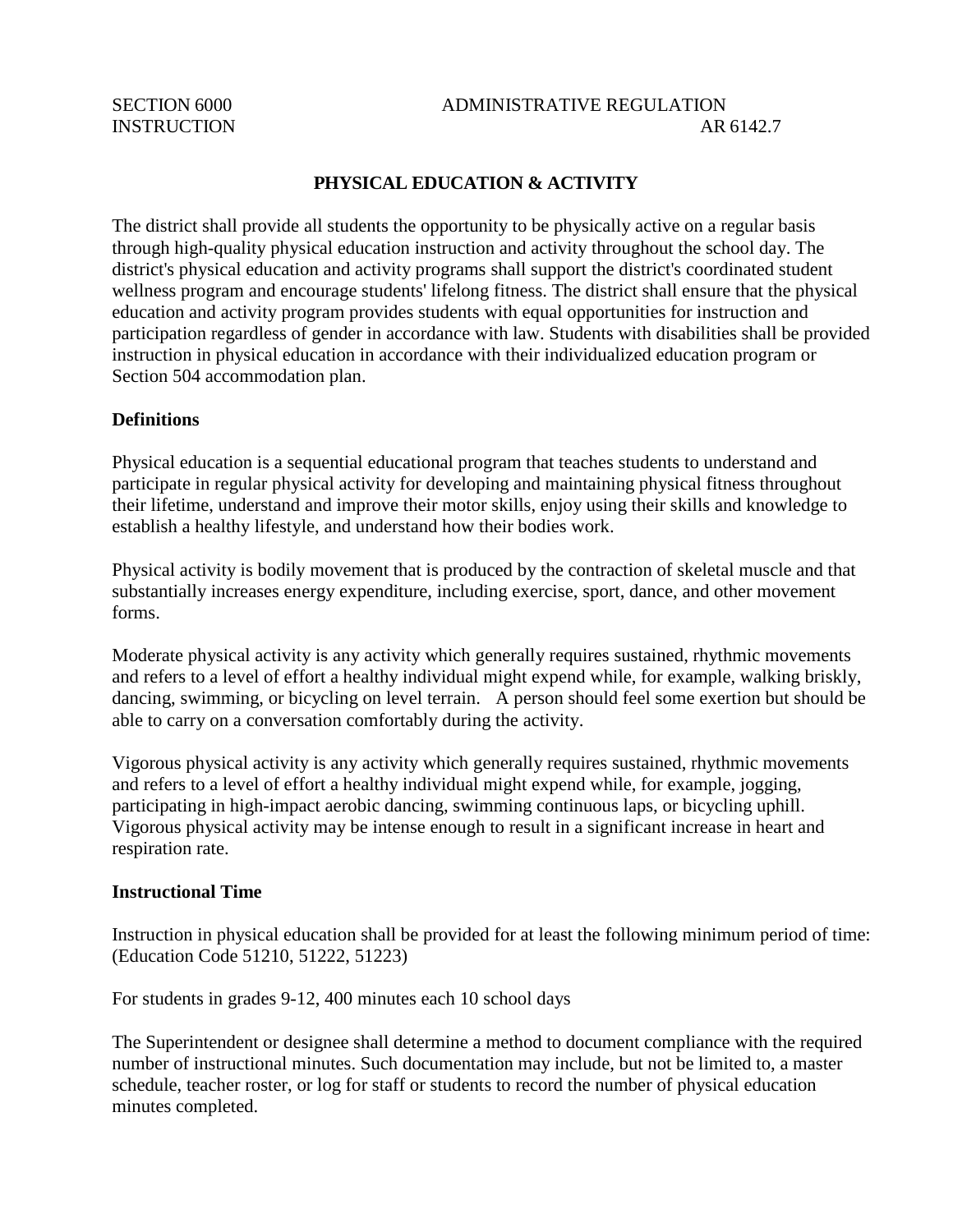# SECTION 6000 ADMINISTRATIVE REGULATION INSTRUCTION AR 6142.7

## **PHYSICAL EDUCATION & ACTIVITY**

The district shall provide all students the opportunity to be physically active on a regular basis through high-quality physical education instruction and activity throughout the school day. The district's physical education and activity programs shall support the district's coordinated student wellness program and encourage students' lifelong fitness. The district shall ensure that the physical education and activity program provides students with equal opportunities for instruction and participation regardless of gender in accordance with law. Students with disabilities shall be provided instruction in physical education in accordance with their individualized education program or Section 504 accommodation plan.

#### **Definitions**

Physical education is a sequential educational program that teaches students to understand and participate in regular physical activity for developing and maintaining physical fitness throughout their lifetime, understand and improve their motor skills, enjoy using their skills and knowledge to establish a healthy lifestyle, and understand how their bodies work.

Physical activity is bodily movement that is produced by the contraction of skeletal muscle and that substantially increases energy expenditure, including exercise, sport, dance, and other movement forms.

Moderate physical activity is any activity which generally requires sustained, rhythmic movements and refers to a level of effort a healthy individual might expend while, for example, walking briskly, dancing, swimming, or bicycling on level terrain. A person should feel some exertion but should be able to carry on a conversation comfortably during the activity.

Vigorous physical activity is any activity which generally requires sustained, rhythmic movements and refers to a level of effort a healthy individual might expend while, for example, jogging, participating in high-impact aerobic dancing, swimming continuous laps, or bicycling uphill. Vigorous physical activity may be intense enough to result in a significant increase in heart and respiration rate.

#### **Instructional Time**

Instruction in physical education shall be provided for at least the following minimum period of time: (Education Code 51210, 51222, 51223)

For students in grades 9-12, 400 minutes each 10 school days

The Superintendent or designee shall determine a method to document compliance with the required number of instructional minutes. Such documentation may include, but not be limited to, a master schedule, teacher roster, or log for staff or students to record the number of physical education minutes completed.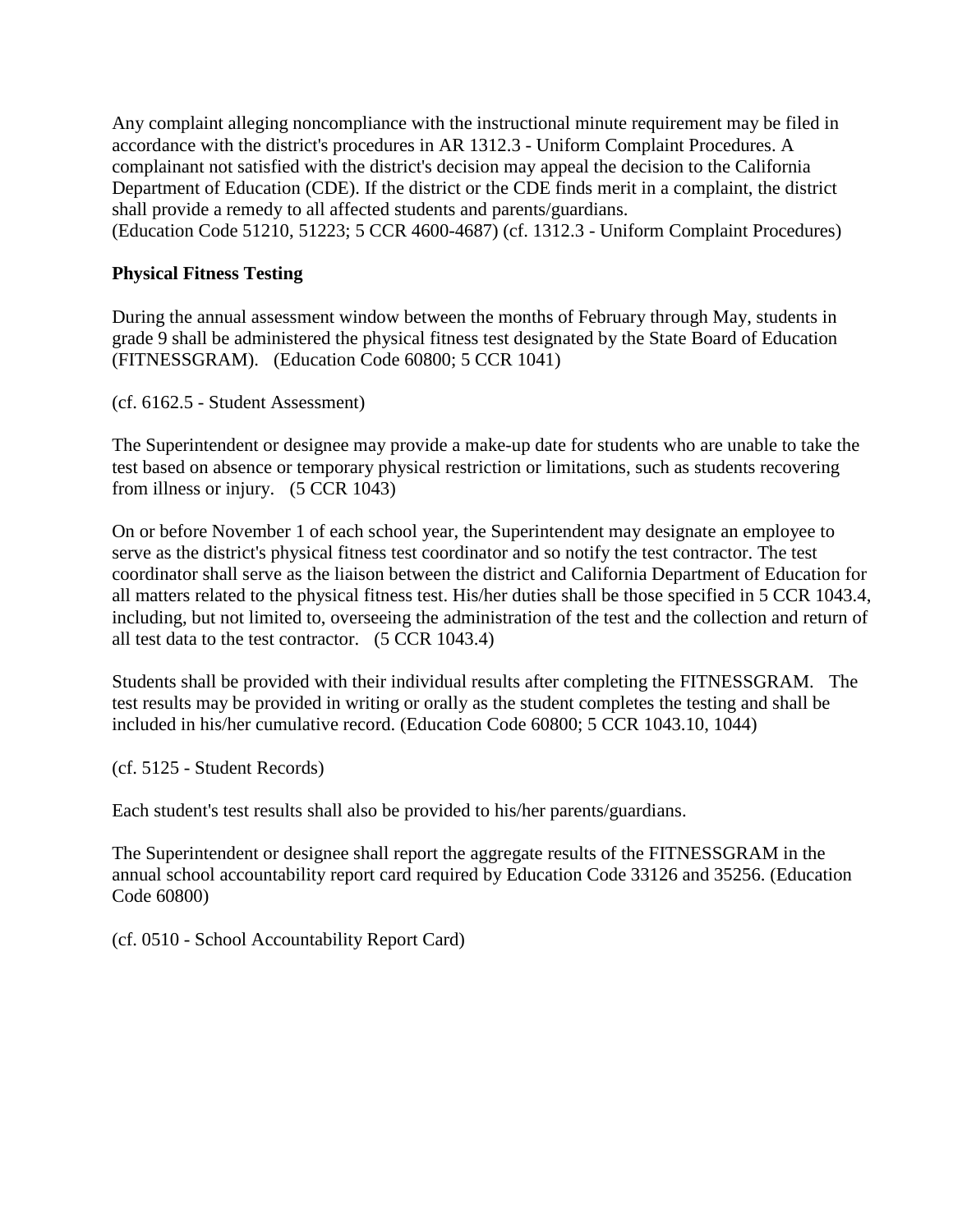Any complaint alleging noncompliance with the instructional minute requirement may be filed in accordance with the district's procedures in AR 1312.3 - Uniform Complaint Procedures. A complainant not satisfied with the district's decision may appeal the decision to the California Department of Education (CDE). If the district or the CDE finds merit in a complaint, the district shall provide a remedy to all affected students and parents/guardians. (Education Code 51210, 51223; 5 CCR 4600-4687) (cf. 1312.3 - Uniform Complaint Procedures)

## **Physical Fitness Testing**

During the annual assessment window between the months of February through May, students in grade 9 shall be administered the physical fitness test designated by the State Board of Education (FITNESSGRAM). (Education Code 60800; 5 CCR 1041)

(cf. 6162.5 - Student Assessment)

The Superintendent or designee may provide a make-up date for students who are unable to take the test based on absence or temporary physical restriction or limitations, such as students recovering from illness or injury. (5 CCR 1043)

On or before November 1 of each school year, the Superintendent may designate an employee to serve as the district's physical fitness test coordinator and so notify the test contractor. The test coordinator shall serve as the liaison between the district and California Department of Education for all matters related to the physical fitness test. His/her duties shall be those specified in 5 CCR 1043.4, including, but not limited to, overseeing the administration of the test and the collection and return of all test data to the test contractor. (5 CCR 1043.4)

Students shall be provided with their individual results after completing the FITNESSGRAM. The test results may be provided in writing or orally as the student completes the testing and shall be included in his/her cumulative record. (Education Code 60800; 5 CCR 1043.10, 1044)

(cf. 5125 - Student Records)

Each student's test results shall also be provided to his/her parents/guardians.

The Superintendent or designee shall report the aggregate results of the FITNESSGRAM in the annual school accountability report card required by Education Code 33126 and 35256. (Education Code 60800)

(cf. 0510 - School Accountability Report Card)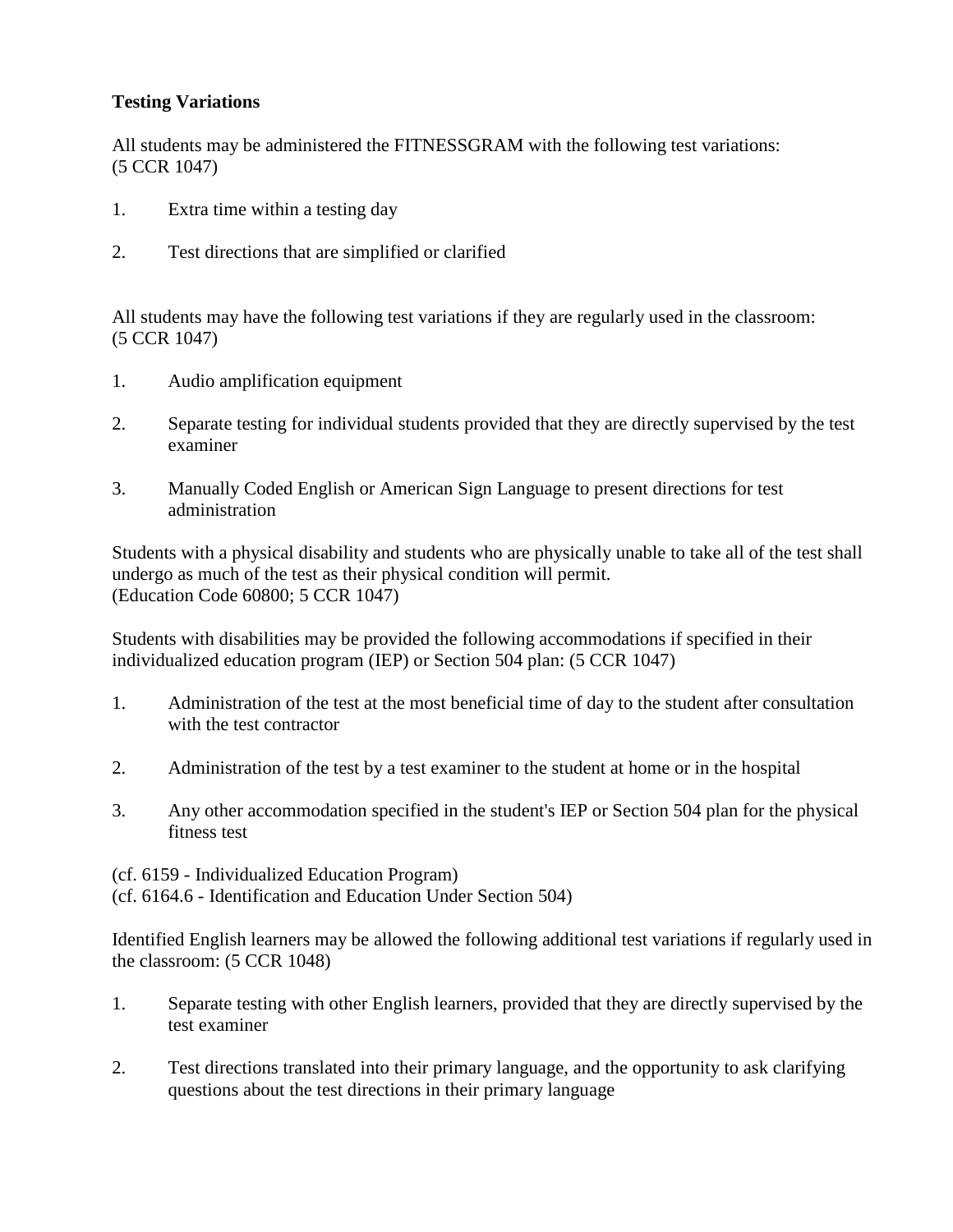# **Testing Variations**

All students may be administered the FITNESSGRAM with the following test variations: (5 CCR 1047)

- 1. Extra time within a testing day
- 2. Test directions that are simplified or clarified

All students may have the following test variations if they are regularly used in the classroom: (5 CCR 1047)

- 1. Audio amplification equipment
- 2. Separate testing for individual students provided that they are directly supervised by the test examiner
- 3. Manually Coded English or American Sign Language to present directions for test administration

Students with a physical disability and students who are physically unable to take all of the test shall undergo as much of the test as their physical condition will permit. (Education Code 60800; 5 CCR 1047)

Students with disabilities may be provided the following accommodations if specified in their individualized education program (IEP) or Section 504 plan: (5 CCR 1047)

- 1. Administration of the test at the most beneficial time of day to the student after consultation with the test contractor
- 2. Administration of the test by a test examiner to the student at home or in the hospital
- 3. Any other accommodation specified in the student's IEP or Section 504 plan for the physical fitness test

(cf. 6159 - Individualized Education Program)

(cf. 6164.6 - Identification and Education Under Section 504)

Identified English learners may be allowed the following additional test variations if regularly used in the classroom: (5 CCR 1048)

- 1. Separate testing with other English learners, provided that they are directly supervised by the test examiner
- 2. Test directions translated into their primary language, and the opportunity to ask clarifying questions about the test directions in their primary language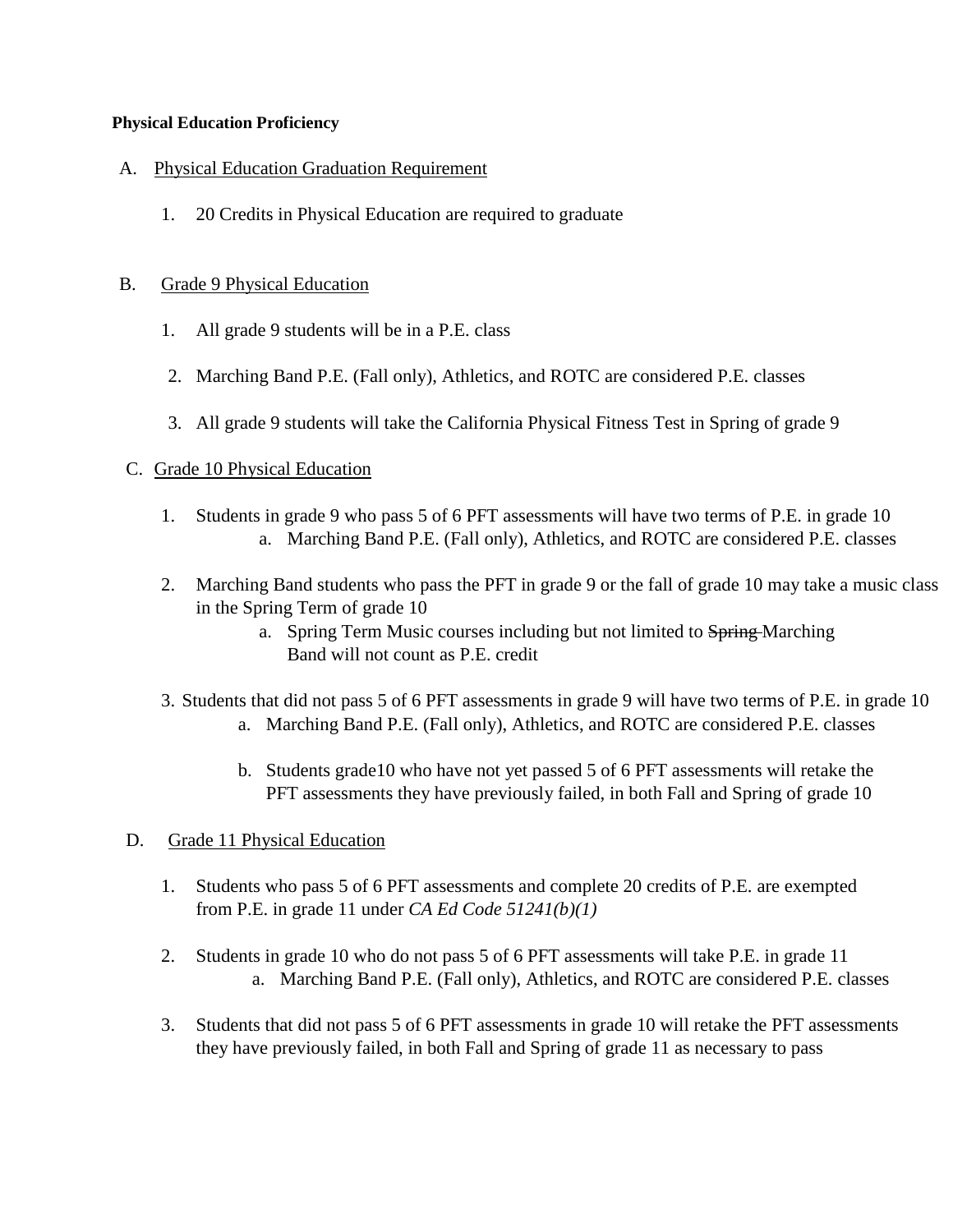#### **Physical Education Proficiency**

## A. Physical Education Graduation Requirement

1. 20 Credits in Physical Education are required to graduate

## B. Grade 9 Physical Education

- 1. All grade 9 students will be in a P.E. class
- 2. Marching Band P.E. (Fall only), Athletics, and ROTC are considered P.E. classes
- 3. All grade 9 students will take the California Physical Fitness Test in Spring of grade 9

## C. Grade 10 Physical Education

- 1. Students in grade 9 who pass 5 of 6 PFT assessments will have two terms of P.E. in grade 10 a. Marching Band P.E. (Fall only), Athletics, and ROTC are considered P.E. classes
- 2. Marching Band students who pass the PFT in grade 9 or the fall of grade 10 may take a music class in the Spring Term of grade 10
	- a. Spring Term Music courses including but not limited to Spring-Marching Band will not count as P.E. credit
- 3. Students that did not pass 5 of 6 PFT assessments in grade 9 will have two terms of P.E. in grade 10 a. Marching Band P.E. (Fall only), Athletics, and ROTC are considered P.E. classes
	- b. Students grade10 who have not yet passed 5 of 6 PFT assessments will retake the PFT assessments they have previously failed, in both Fall and Spring of grade 10

# D. Grade 11 Physical Education

- 1. Students who pass 5 of 6 PFT assessments and complete 20 credits of P.E. are exempted from P.E. in grade 11 under *CA Ed Code 51241(b)(1)*
- 2. Students in grade 10 who do not pass 5 of 6 PFT assessments will take P.E. in grade 11 a. Marching Band P.E. (Fall only), Athletics, and ROTC are considered P.E. classes
- 3. Students that did not pass 5 of 6 PFT assessments in grade 10 will retake the PFT assessments they have previously failed, in both Fall and Spring of grade 11 as necessary to pass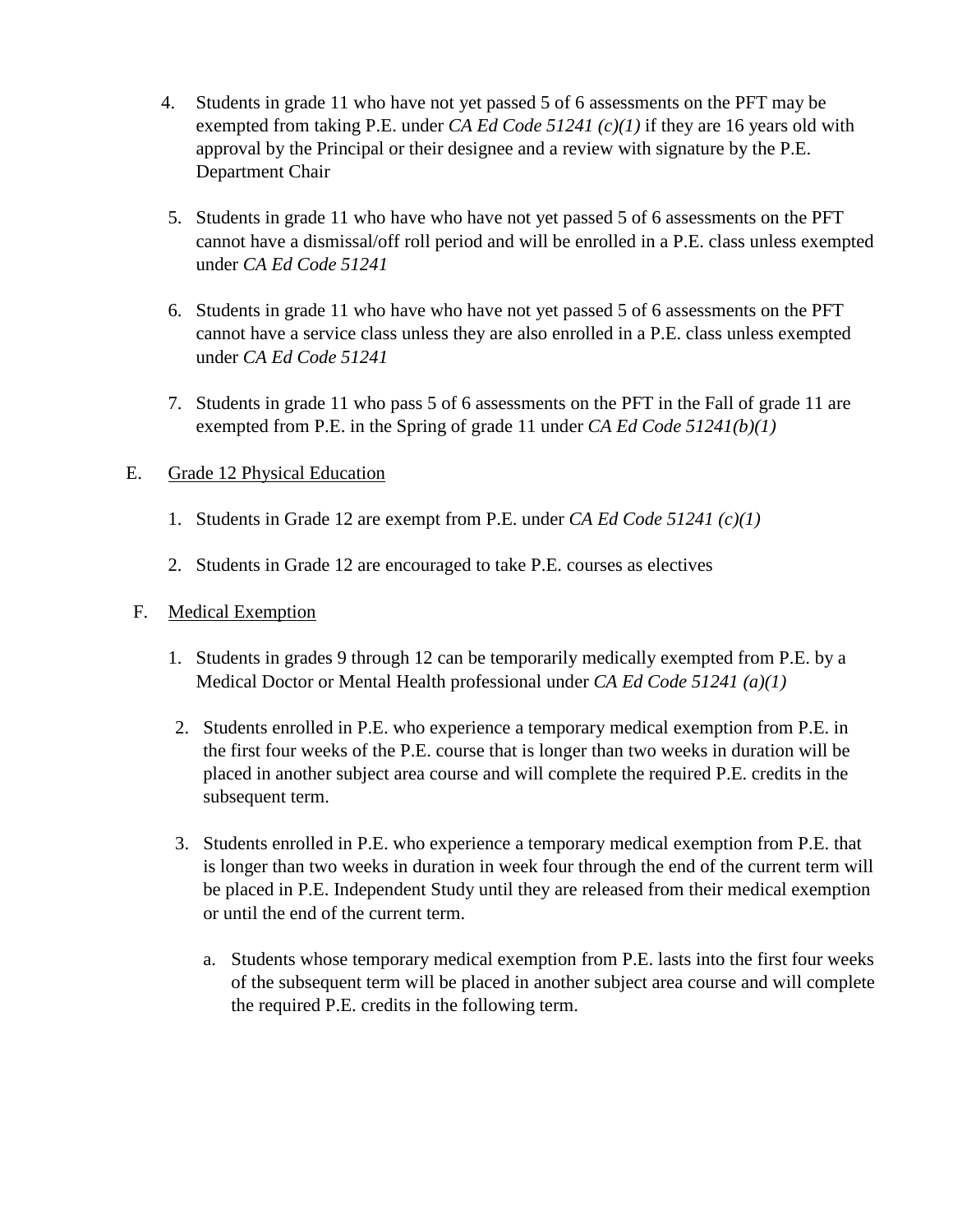- 4. Students in grade 11 who have not yet passed 5 of 6 assessments on the PFT may be exempted from taking P.E. under *CA Ed Code 51241 (c)(1)* if they are 16 years old with approval by the Principal or their designee and a review with signature by the P.E. Department Chair
- 5. Students in grade 11 who have who have not yet passed 5 of 6 assessments on the PFT cannot have a dismissal/off roll period and will be enrolled in a P.E. class unless exempted under *CA Ed Code 51241*
- 6. Students in grade 11 who have who have not yet passed 5 of 6 assessments on the PFT cannot have a service class unless they are also enrolled in a P.E. class unless exempted under *CA Ed Code 51241*
- 7. Students in grade 11 who pass 5 of 6 assessments on the PFT in the Fall of grade 11 are exempted from P.E. in the Spring of grade 11 under *CA Ed Code 51241(b)(1)*

## E. Grade 12 Physical Education

- 1. Students in Grade 12 are exempt from P.E. under *CA Ed Code 51241 (c)(1)*
- 2. Students in Grade 12 are encouraged to take P.E. courses as electives

# F. Medical Exemption

- 1. Students in grades 9 through 12 can be temporarily medically exempted from P.E. by a Medical Doctor or Mental Health professional under *CA Ed Code 51241 (a)(1)*
- 2. Students enrolled in P.E. who experience a temporary medical exemption from P.E. in the first four weeks of the P.E. course that is longer than two weeks in duration will be placed in another subject area course and will complete the required P.E. credits in the subsequent term.
- 3. Students enrolled in P.E. who experience a temporary medical exemption from P.E. that is longer than two weeks in duration in week four through the end of the current term will be placed in P.E. Independent Study until they are released from their medical exemption or until the end of the current term.
	- a. Students whose temporary medical exemption from P.E. lasts into the first four weeks of the subsequent term will be placed in another subject area course and will complete the required P.E. credits in the following term.